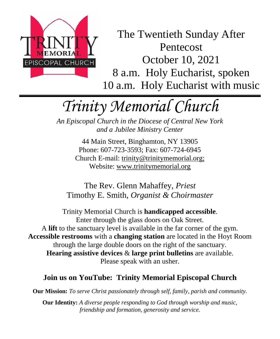

The Twentieth Sunday After Pentecost October 10, 2021 8 a.m. Holy Eucharist, spoken 10 a.m. Holy Eucharist with music

# *Trinity Memorial Church*

*An Episcopal Church in the Diocese of Central New York and a Jubilee Ministry Center*

> 44 Main Street, Binghamton, NY 13905 Phone: 607-723-3593; Fax: 607-724-6945 Church E-mail: trinity@trinitymemorial.org; Website: www.trinitymemorial.org

The Rev. Glenn Mahaffey, *Priest* Timothy E. Smith, *Organist & Choirmaster* 

Trinity Memorial Church is **handicapped accessible**. Enter through the glass doors on Oak Street. A **lift** to the sanctuary level is available in the far corner of the gym. **Accessible restrooms** with a **changing station** are located in the Hoyt Room through the large double doors on the right of the sanctuary. **Hearing assistive devices** & **large print bulletins** are available. Please speak with an usher.

### **Join us on YouTube: Trinity Memorial Episcopal Church**

**Our Mission:** *To serve Christ passionately through self, family, parish and community.*

**Our Identity:** *A diverse people responding to God through worship and music, friendship and formation, generosity and service.*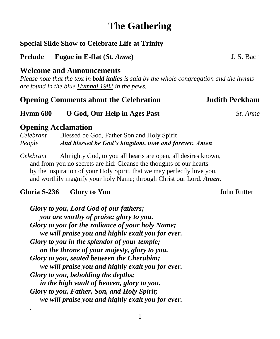## **The Gathering**

## **Special Slide Show to Celebrate Life at Trinity Prelude** Fugue in E-flat (*St. Anne*) J. S. Bach **Welcome and Announcements** *Please note that the text in bold italics is said by the whole congregation and the hymns are found in the blue Hymnal 1982 in the pews.* **Opening Comments about the Celebration Judith Peckham Hymn 680 O God, Our Help in Ages Past** *St. Anne*

#### **Opening Acclamation**

*Celebrant* Blessed be God, Father Son and Holy Spirit *People And blessed be God's kingdom, now and forever. Amen*

*Celebrant* Almighty God, to you all hearts are open, all desires known, and from you no secrets are hid: Cleanse the thoughts of our hearts by the inspiration of your Holy Spirit, that we may perfectly love you, and worthily magnify your holy Name; through Christ our Lord. *Amen***.**

### **Gloria S-236 Glory to You** John Rutter

*.*

*Glory to you, Lord God of our fathers; you are worthy of praise; glory to you. Glory to you for the radiance of your holy Name; we will praise you and highly exalt you for ever. Glory to you in the splendor of your temple; on the throne of your majesty, glory to you. Glory to you, seated between the Cherubim; we will praise you and highly exalt you for ever. Glory to you, beholding the depths; in the high vault of heaven, glory to you. Glory to you, Father, Son, and Holy Spirit; we will praise you and highly exalt you for ever.*

1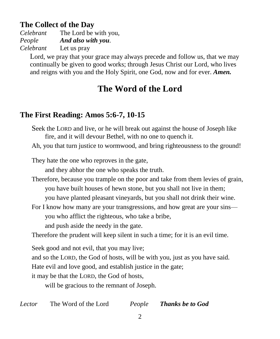### **The Collect of the Day**

*Celebrant* The Lord be with you, *People And also with you. Celebrant* Let us pray

> Lord, we pray that your grace may always precede and follow us, that we may continually be given to good works; through Jesus Christ our Lord, who lives and reigns with you and the Holy Spirit, one God, now and for ever. *Amen.*

## **The Word of the Lord**

### **The First Reading: Amos 5:6-7, 10-15**

Seek the LORD and live, or he will break out against the house of Joseph like fire, and it will devour Bethel, with no one to quench it.

Ah, you that turn justice to wormwood, and bring righteousness to the ground!

They hate the one who reproves in the gate,

and they abhor the one who speaks the truth.

- Therefore, because you trample on the poor and take from them levies of grain, you have built houses of hewn stone, but you shall not live in them; you have planted pleasant vineyards, but you shall not drink their wine.
- For I know how many are your transgressions, and how great are your sins you who afflict the righteous, who take a bribe, and push aside the needy in the gate.

Therefore the prudent will keep silent in such a time; for it is an evil time.

Seek good and not evil, that you may live;

and so the LORD, the God of hosts, will be with you, just as you have said.

Hate evil and love good, and establish justice in the gate;

it may be that the LORD, the God of hosts,

will be gracious to the remnant of Joseph.

*Lector* The Word of the Lord *People Thanks be to God*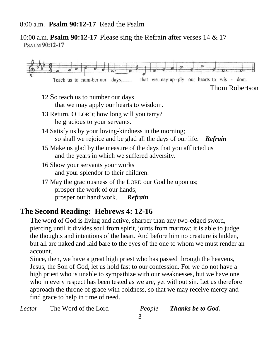10:00 a.m. **Psalm 90:12-17** Please sing the Refrain after verses 14 & 17 PSALM 90:12-17



- 12 So teach us to number our days that we may apply our hearts to wisdom.
- 13 Return, O LORD; how long will you tarry? be gracious to your servants.
- 14 Satisfy us by your loving-kindness in the morning; so shall we rejoice and be glad all the days of our life. *Refrain*
- 15 Make us glad by the measure of the days that you afflicted us and the years in which we suffered adversity.
- 16 Show your servants your works and your splendor to their children.
- 17 May the graciousness of the LORD our God be upon us; prosper the work of our hands; prosper our handiwork. *Refrain*

### **The Second Reading: Hebrews 4: 12-16**

The word of God is living and active, sharper than any two-edged sword, piercing until it divides soul from spirit, joints from marrow; it is able to judge the thoughts and intentions of the heart. And before him no creature is hidden, but all are naked and laid bare to the eyes of the one to whom we must render an account.

Since, then, we have a great high priest who has passed through the heavens, Jesus, the Son of God, let us hold fast to our confession. For we do not have a high priest who is unable to sympathize with our weaknesses, but we have one who in every respect has been tested as we are, yet without sin. Let us therefore approach the throne of grace with boldness, so that we may receive mercy and find grace to help in time of need.

| Lector | The Word of the Lord | People <b>Thanks be to God.</b> |
|--------|----------------------|---------------------------------|
|        |                      |                                 |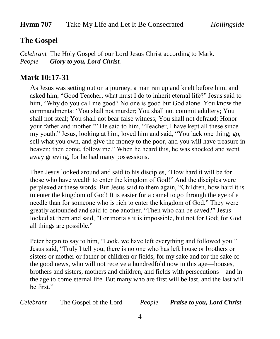### **The Gospel**

*Celebrant* The Holy Gospel of our Lord Jesus Christ according to Mark. *People Glory to you, Lord Christ.*

### **Mark 10:17-31**

As Jesus was setting out on a journey, a man ran up and knelt before him, and asked him, "Good Teacher, what must I do to inherit eternal life?" Jesus said to him, "Why do you call me good? No one is good but God alone. You know the commandments: 'You shall not murder; You shall not commit adultery; You shall not steal; You shall not bear false witness; You shall not defraud; Honor your father and mother.'" He said to him, "Teacher, I have kept all these since my youth." Jesus, looking at him, loved him and said, "You lack one thing; go, sell what you own, and give the money to the poor, and you will have treasure in heaven; then come, follow me." When he heard this, he was shocked and went away grieving, for he had many possessions.

Then Jesus looked around and said to his disciples, "How hard it will be for those who have wealth to enter the kingdom of God!" And the disciples were perplexed at these words. But Jesus said to them again, "Children, how hard it is to enter the kingdom of God! It is easier for a camel to go through the eye of a needle than for someone who is rich to enter the kingdom of God." They were greatly astounded and said to one another, "Then who can be saved?" Jesus looked at them and said, "For mortals it is impossible, but not for God; for God all things are possible."

Peter began to say to him, "Look, we have left everything and followed you." Jesus said, "Truly I tell you, there is no one who has left house or brothers or sisters or mother or father or children or fields, for my sake and for the sake of the good news, who will not receive a hundredfold now in this age—houses, brothers and sisters, mothers and children, and fields with persecutions—and in the age to come eternal life. But many who are first will be last, and the last will be first."

*Celebrant* The Gospel of the Lord *People Praise to you, Lord Christ*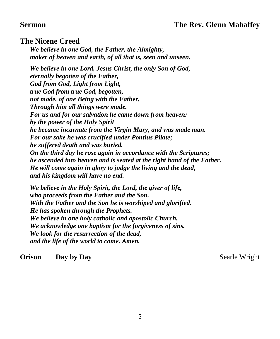### **Sermon The Rev. Glenn Mahaffey**

#### **The Nicene Creed**

*We believe in one God, the Father, the Almighty, maker of heaven and earth, of all that is, seen and unseen.*

*We believe in one Lord, Jesus Christ, the only Son of God, eternally begotten of the Father, God from God, Light from Light, true God from true God, begotten, not made, of one Being with the Father. Through him all things were made. For us and for our salvation he came down from heaven: by the power of the Holy Spirit he became incarnate from the Virgin Mary, and was made man. For our sake he was crucified under Pontius Pilate; he suffered death and was buried. On the third day he rose again in accordance with the Scriptures; he ascended into heaven and is seated at the right hand of the Father. He will come again in glory to judge the living and the dead, and his kingdom will have no end.*

*We believe in the Holy Spirit, the Lord, the giver of life, who proceeds from the Father and the Son. With the Father and the Son he is worshiped and glorified. He has spoken through the Prophets. We believe in one holy catholic and apostolic Church. We acknowledge one baptism for the forgiveness of sins. We look for the resurrection of the dead, and the life of the world to come. Amen.*

**Orison** Day by Day **Searle Wright**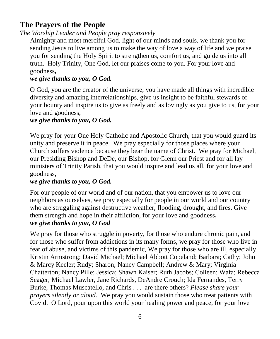### **The Prayers of the People**

#### *The Worship Leader and People pray responsively*

Almighty and most merciful God, light of our minds and souls, we thank you for sending Jesus to live among us to make the way of love a way of life and we praise you for sending the Holy Spirit to strengthen us, comfort us, and guide us into all truth. Holy Trinity, One God, let our praises come to you. For your love and goodness**,**

#### *we give thanks to you, O God.*

O God, you are the creator of the universe, you have made all things with incredible diversity and amazing interrelationships, give us insight to be faithful stewards of your bounty and inspire us to give as freely and as lovingly as you give to us, for your love and goodness,

#### *we give thanks to you, O God.*

We pray for your One Holy Catholic and Apostolic Church, that you would guard its unity and preserve it in peace. We pray especially for those places where your Church suffers violence because they bear the name of Christ. We pray for Michael, our Presiding Bishop and DeDe, our Bishop, for Glenn our Priest and for all lay ministers of Trinity Parish, that you would inspire and lead us all, for your love and goodness**,**

#### *we give thanks to you, O God.*

For our people of our world and of our nation, that you empower us to love our neighbors as ourselves, we pray especially for people in our world and our country who are struggling against destructive weather, flooding, drought, and fires. Give them strength and hope in their affliction, for your love and goodness**,** *we give thanks to you, O God*

We pray for those who struggle in poverty, for those who endure chronic pain, and for those who suffer from addictions in its many forms, we pray for those who live in fear of abuse, and victims of this pandemic, We pray for those who are ill, especially Kristin Armstrong; David Michael; Michael Abbott Copeland; Barbara; Cathy; John & Marcy Keeler; Rudy; Sharon; Nancy Campbell; Andrew & Mary; Virginia Chatterton; Nancy Pille; Jessica; Shawn Kaiser; Ruth Jacobs; Colleen; Wafa; Rebecca Seager; Michael Lawler, Jane Richards, DeAndre Crouch; Ida Fernandes, Terry Burke, Thomas Muscatello, and Chris . . . are there others? *Please share your prayers silently or aloud.* We pray you would sustain those who treat patients with Covid. O Lord, pour upon this world your healing power and peace, for your love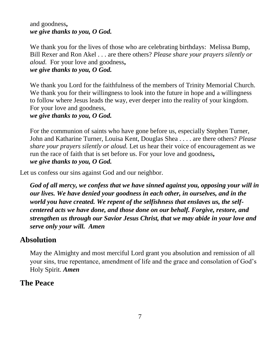and goodness**,** *we give thanks to you, O God.*

We thank you for the lives of those who are celebrating birthdays: Melissa Bump, Bill Rexer and Ron Akel . . . are there others? *Please share your prayers silently or aloud.* For your love and goodness**,** *we give thanks to you, O God.*

We thank you Lord for the faithfulness of the members of Trinity Memorial Church. We thank you for their willingness to look into the future in hope and a willingness to follow where Jesus leads the way, ever deeper into the reality of your kingdom. For your love and goodness, *we give thanks to you, O God.*

For the communion of saints who have gone before us, especially Stephen Turner, John and Katharine Turner, Louisa Kent, Douglas Shea . . . . are there others? *Please share your prayers silently or aloud.* Let us hear their voice of encouragement as we run the race of faith that is set before us. For your love and goodness**,** *we give thanks to you, O God.*

Let us confess our sins against God and our neighbor.

*God of all mercy, we confess that we have sinned against you, opposing your will in our lives. We have denied your goodness in each other, in ourselves, and in the world you have created. We repent of the selfishness that enslaves us, the selfcentered acts we have done, and those done on our behalf. Forgive, restore, and strengthen us through our Savior Jesus Christ, that we may abide in your love and serve only your will. Amen*

### **Absolution**

May the Almighty and most merciful Lord grant you absolution and remission of all your sins, true repentance, amendment of life and the grace and consolation of God's Holy Spirit. *Amen*

### **The Peace**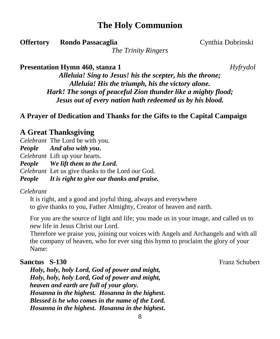### **The Holy Communion**

**Offertory Rondo Passacaglia** Cynthia Dobrinski

*The Trinity Ringers*

**Presentation Hymn 460, stanza 1** *Hyfrydol*

*Alleluia! Sing to Jesus! his the scepter, his the throne; Alleluia! His the triumph, his the victory alone. Hark! The songs of peaceful Zion thunder like a mighty flood; Jesus out of every nation hath redeemed us by his blood.*

#### **A Prayer of Dedication and Thanks for the Gifts to the Capital Campaign**

#### **A Great Thanksgiving**

*Celebrant* The Lord be with you. *People And also with you***.** *Celebrant* Lift up your hearts. *People We lift them to the Lord. Celebrant* Let us give thanks to the Lord our God. *People It is right to give our thanks and praise.*

*Celebrant* 

It is right, and a good and joyful thing, always and everywhere to give thanks to you, Father Almighty, Creator of heaven and earth.

For you are the source of light and life; you made us in your image, and called us to new life in Jesus Christ our Lord.

Therefore we praise you, joining our voices with Angels and Archangels and with all the company of heaven, who for ever sing this hymn to proclaim the glory of your Name:

#### **Sanctus S-130** Franz Schubert

*Holy, holy, holy Lord, God of power and might, Holy, holy, holy Lord, God of power and might, heaven and earth are full of your glory. Hosanna in the highest. Hosanna in the highest***.**  *Blessed is he who comes in the name of the Lord. Hosanna in the highest***.** *Hosanna in the highest***.**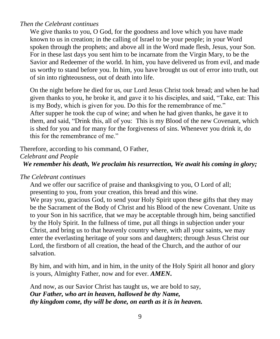#### *Then the Celebrant continues*

We give thanks to you, O God, for the goodness and love which you have made known to us in creation; in the calling of Israel to be your people; in your Word spoken through the prophets; and above all in the Word made flesh, Jesus, your Son. For in these last days you sent him to be incarnate from the Virgin Mary, to be the Savior and Redeemer of the world. In him, you have delivered us from evil, and made us worthy to stand before you. In him, you have brought us out of error into truth, out of sin into righteousness, out of death into life.

On the night before he died for us, our Lord Jesus Christ took bread; and when he had given thanks to you, he broke it, and gave it to his disciples, and said, "Take, eat: This is my Body, which is given for you. Do this for the remembrance of me." After supper he took the cup of wine; and when he had given thanks, he gave it to them, and said, "Drink this, all of you: This is my Blood of the new Covenant, which is shed for you and for many for the forgiveness of sins. Whenever you drink it, do this for the remembrance of me."

Therefore, according to his command, O Father,

*Celebrant and People*

*We remember his death, We proclaim his resurrection, We await his coming in glory;*

*The Celebrant continues*

And we offer our sacrifice of praise and thanksgiving to you, O Lord of all; presenting to you, from your creation, this bread and this wine. We pray you, gracious God, to send your Holy Spirit upon these gifts that they may be the Sacrament of the Body of Christ and his Blood of the new Covenant. Unite us to your Son in his sacrifice, that we may be acceptable through him, being sanctified by the Holy Spirit. In the fullness of time, put all things in subjection under your Christ, and bring us to that heavenly country where, with all your saints, we may enter the everlasting heritage of your sons and daughters; through Jesus Christ our Lord, the firstborn of all creation, the head of the Church, and the author of our salvation.

By him, and with him, and in him, in the unity of the Holy Spirit all honor and glory is yours, Almighty Father, now and for ever. *AMEN***.**

And now, as our Savior Christ has taught us, we are bold to say, *Our Father, who art in heaven, hallowed be thy Name, thy kingdom come, thy will be done, on earth as it is in heaven.*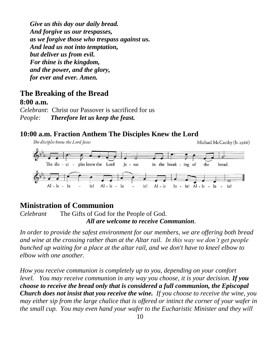*Give us this day our daily bread. And forgive us our trespasses, as we forgive those who trespass against us. And lead us not into temptation, but deliver us from evil. For thine is the kingdom, and the power, and the glory, for ever and ever. Amen.*

### **The Breaking of the Bread 8:00 a.m.**

*Celebrant*: Christ our Passover is sacrificed for us *People: Therefore let us keep the feast.*

### **10:00 a.m. Fraction Anthem The Disciples Knew the Lord**

The disciples knew the Lord Jesus

```
Michael McCarthy (b. 1966)
```


### **Ministration of Communion**

*Celebrant* The Gifts of God for the People of God. *All are welcome to receive Communion.*

*In order to provide the safest environment for our members, we are offering both bread and wine at the crossing rather than at the Altar rail. In this way we don't get people bunched up waiting for a place at the altar rail, and we don't have to kneel elbow to elbow with one another.* 

*How you receive communion is completely up to you, depending on your comfort level. You may receive communion in any way you choose, it is your decision. If you choose to receive the bread only that is considered a full communion, the Episcopal Church does not insist that you receive the wine. If you choose to receive the wine, you may either sip from the large chalice that is offered or intinct the corner of your wafer in the small cup. You may even hand your wafer to the Eucharistic Minister and they will*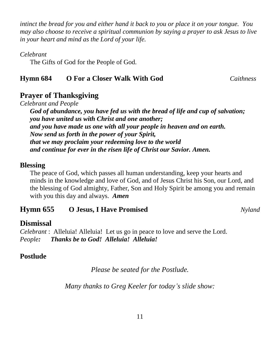*intinct the bread for you and either hand it back to you or place it on your tongue. You may also choose to receive a spiritual communion by saying a prayer to ask Jesus to live in your heart and mind as the Lord of your life.*

*Celebrant*

The Gifts of God for the People of God.

#### **Hymn 684 O For a Closer Walk With God** *Caithness*

### **Prayer of Thanksgiving**

*Celebrant and People*

*God of abundance, you have fed us with the bread of life and cup of salvation; you have united us with Christ and one another; and you have made us one with all your people in heaven and on earth. Now send us forth in the power of your Spirit, that we may proclaim your redeeming love to the world and continue for ever in the risen life of Christ our Savior. Amen.*

#### **Blessing**

The peace of God, which passes all human understanding, keep your hearts and minds in the knowledge and love of God, and of Jesus Christ his Son, our Lord, and the blessing of God almighty, Father, Son and Holy Spirit be among you and remain with you this day and always. *Amen*

### **Hymn 655 O Jesus, I Have Promised** *Nyland*

### **Dismissal**

*Celebrant* : Alleluia! Alleluia! Let us go in peace to love and serve the Lord. *People: Thanks be to God! Alleluia! Alleluia!*

### **Postlude**

*Please be seated for the Postlude.*

*Many thanks to Greg Keeler for today's slide show:*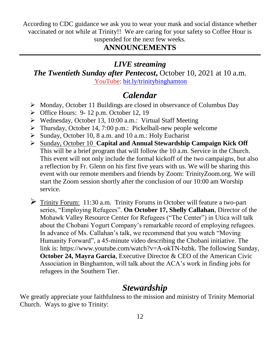According to CDC guidance we ask you to wear your mask and social distance whether vaccinated or not while at Trinity!! We are caring for your safety so Coffee Hour is suspended for the next few weeks.

### **ANNOUNCEMENTS**

*LIVE streaming*

*The Twentieth Sunday after Pentecost***,** October 10, 2021 at 10 a.m.

[YouTube:](https://bit.ly/trinitybinghamton) [bit.ly/trinitybinghamton](https://bit.ly/trinitybinghamton)

### *Calendar*

- ➢ Monday, October 11 Buildings are closed in observance of Columbus Day
- ➢ Office Hours: 9- 12 p.m. October 12, 19
- ➢ Wednesday, October 13, 10:00 a.m.: Virtual Staff Meeting
- ➢ Thursday, October 14, 7:00 p.m.: Pickelball-new people welcome
- ➢ Sunday, October 10, 8 a.m. and 10 a.m.: Holy Eucharist
- ➢ Sunday, October 10 **Capital and Annual Stewardship Campaign Kick Off** This will be a brief program that will follow the 10 a.m. Service in the Church. This event will not only include the formal kickoff of the two campaigns, but also a reflection by Fr. Glenn on his first five years with us. We will be sharing this event with our remote members and friends by Zoom: TrinityZoom.org. We will start the Zoom session shortly after the conclusion of our 10:00 am Worship service.

➢ Trinity Forum: 11:30 a.m. Trinity Forums in October will feature a two-part series, "Employing Refugees". **On October 17, Shelly Callahan**, Director of the Mohawk Valley Resource Center for Refugees ("The Center") in Utica will talk about the Chobani Yogurt Company's remarkable record of employing refugees. In advance of Ms. Callahan's talk, we recommend that you watch "Moving Humanity Forward", a 45-minute video describing the Chobani initiative. The link is: https://www.youtube.com/watch?v=A-okTN-bzbk. The following Sunday, **October 24, Mayra Garcia**, Executive Director & CEO of the American Civic Association in Binghamton, will talk about the ACA's work in finding jobs for refugees in the Southern Tier.

### *Stewardship*

We greatly appreciate your faithfulness to the mission and ministry of Trinity Memorial Church. Ways to give to Trinity: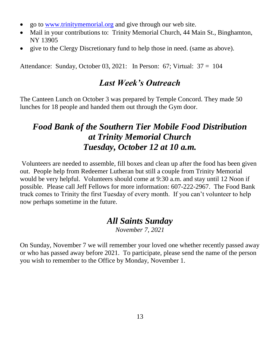- go to [www.trinitymemorial.org](http://www.trinitymemorial.org/) and give through our web site.
- Mail in your contributions to: Trinity Memorial Church, 44 Main St., Binghamton, NY 13905
- give to the Clergy Discretionary fund to help those in need. (same as above).

Attendance: Sunday, October 03, 2021: In Person: 67; Virtual: 37 = 104

### *Last Week's Outreach*

The Canteen Lunch on October 3 was prepared by Temple Concord. They made 50 lunches for 18 people and handed them out through the Gym door.

### *Food Bank of the Southern Tier Mobile Food Distribution at Trinity Memorial Church Tuesday, October 12 at 10 a.m.*

Volunteers are needed to assemble, fill boxes and clean up after the food has been given out. People help from Redeemer Lutheran but still a couple from Trinity Memorial would be very helpful. Volunteers should come at 9:30 a.m. and stay until 12 Noon if possible. Please call Jeff Fellows for more information: 607-222-2967. The Food Bank truck comes to Trinity the first Tuesday of every month. If you can't volunteer to help now perhaps sometime in the future.

### *All Saints Sunday*

*November 7, 2021*

On Sunday, November 7 we will remember your loved one whether recently passed away or who has passed away before 2021. To participate, please send the name of the person you wish to remember to the Office by Monday, November 1.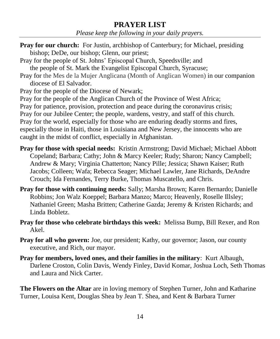### **PRAYER LIST**

*Please keep the following in your daily prayers.*

- **Pray for our church:** For Justin, archbishop of Canterbury; for Michael, presiding bishop; DeDe, our bishop; Glenn, our priest; Pray for the people of St. Johns' Episcopal Church, Speedsville; and the people of St. Mark the Evangelist Episcopal Church, Syracuse; Pray for the Mes de la Mujer Anglicana (Month of Anglican Women) in our companion diocese of El Salvador. Pray for the people of the Diocese of Newark; Pray for the people of the Anglican Church of the Province of West Africa; Pray for patience, provision, protection and peace during the coronavirus crisis; Pray for our Jubilee Center; the people, wardens, vestry, and staff of this church. Pray for the world, especially for those who are enduring deadly storms and fires, especially those in Haiti, those in Louisiana and New Jersey, the innocents who are caught in the midst of conflict, especially in Afghanistan.
- **Pray for those with special needs:** Kristin Armstrong; David Michael; Michael Abbott Copeland; Barbara; Cathy; John & Marcy Keeler; Rudy; Sharon; Nancy Campbell; Andrew & Mary; Virginia Chatterton; Nancy Pille; Jessica; Shawn Kaiser; Ruth Jacobs; Colleen; Wafa; Rebecca Seager; Michael Lawler, Jane Richards, DeAndre Crouch; Ida Fernandes, Terry Burke, Thomas Muscatello, and Chris.
- **Pray for those with continuing needs:** Sally; Marsha Brown; Karen Bernardo; Danielle Robbins; Jon Walz Koeppel; Barbara Manzo; Marco; Heavenly, Roselle Illsley; Nathaniel Green; Masha Britten; Catherine Gazda; Jeremy & Kristen Richards; and Linda Bobletz.
- **Pray for those who celebrate birthdays this week:** Melissa Bump, Bill Rexer, and Ron Akel.
- **Pray for all who govern:** Joe, our president; Kathy, our governor; Jason, our county executive, and Rich, our mayor.
- **Pray for members, loved ones, and their families in the military**: Kurt Albaugh, Darlene Croston, Colin Davis, Wendy Finley, David Komar, Joshua Loch, Seth Thomas and Laura and Nick Carter.

**The Flowers on the Altar** are in loving memory of Stephen Turner, John and Katharine Turner, Louisa Kent, Douglas Shea by Jean T. Shea, and Kent & Barbara Turner